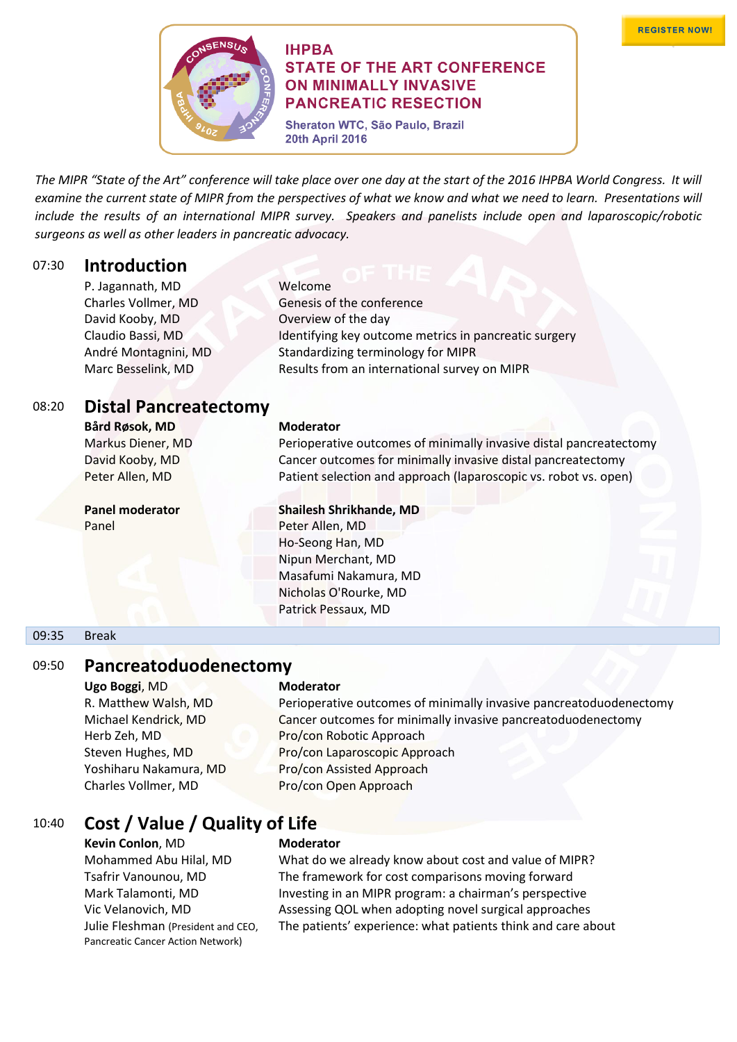

### **IHPBA STATE OF THE ART CONFERENCE ON MINIMALLY INVASIVE PANCREATIC RESECTION**

Sheraton WTC, São Paulo, Brazil **20th April 2016** 

*The MIPR "State of the Art" conference will take place over one day at the start of the 2016 IHPBA World Congress. It will examine the current state of MIPR from the perspectives of what we know and what we need to learn. Presentations will include the results of an international MIPR survey. Speakers and panelists include open and laparoscopic/robotic surgeons as well as other leaders in pancreatic advocacy.* 

### 07:30 **Introduction**

| Welcome                                               |
|-------------------------------------------------------|
| Genesis of the conference                             |
| Overview of the day                                   |
| Identifying key outcome metrics in pancreatic surgery |
| Standardizing terminology for MIPR                    |
| Results from an international survey on MIPR          |
|                                                       |

# 08:20 **Distal Pancreatectomy**

**Bård Røsok, MD Moderator**

# **Panel moderator Shailesh Shrikhande, MD**

Markus Diener, MD Perioperative outcomes of minimally invasive distal pancreatectomy David Kooby, MD Cancer outcomes for minimally invasive distal pancreatectomy Peter Allen, MD Patient selection and approach (laparoscopic vs. robot vs. open)

Panel Peter Allen, MD Ho-Seong Han, MD Nipun Merchant, MD Masafumi Nakamura, MD Nicholas O'Rourke, MD Patrick Pessaux, MD

### 09:35 Break

### 09:50 **Pancreatoduodenectomy**

**Ugo Boggi, MD <b>Moderator** Charles Vollmer, MD Pro/con Open Approach

R. Matthew Walsh, MD Perioperative outcomes of minimally invasive pancreatoduodenectomy Michael Kendrick, MD Cancer outcomes for minimally invasive pancreatoduodenectomy Herb Zeh, MD Pro/con Robotic Approach Steven Hughes, MD Pro/con Laparoscopic Approach Yoshiharu Nakamura, MD Pro/con Assisted Approach

## 10:40 **Cost / Value / Quality of Life**

**Kevin Conlon**, MD **Moderator** Julie Fleshman (President and CEO, Pancreatic Cancer Action Network)

Mohammed Abu Hilal, MD What do we already know about cost and value of MIPR? Tsafrir Vanounou, MD The framework for cost comparisons moving forward Mark Talamonti, MD **Investing in an MIPR program: a chairman's perspective** Vic Velanovich, MD Assessing QOL when adopting novel surgical approaches The patients' experience: what patients think and care about